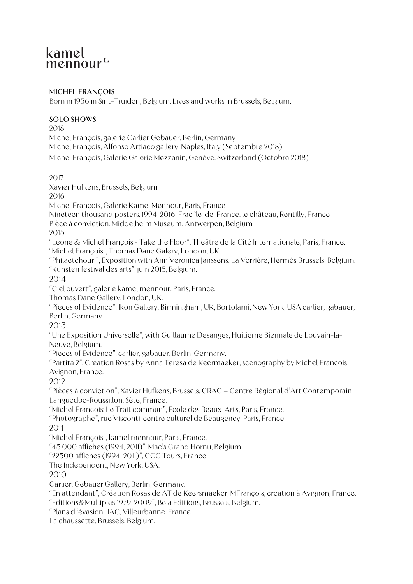# kamel mennour<sup>L</sup>

#### **MICHEL FRANÇOIS**

Born in 1956 in Sint-Truiden, Belgium. Lives and works in Brussels, Belgium.

#### **SOLO SHOWS**

2018 Michel François, galerie Carlier Gebauer, Berlin, Germany Michel François, Alfonso Artiaco gallery, Naples, Italy (Septembre 2018) Michel François, Galerie Galerie Mezzanin, Genève, Switzerland (Octobre 2018)

2017

Xavier Hufkens, Brussels, Belgium

2016

Michel François, Galerie Kamel Mennour, Paris, France

Nineteen thousand posters. 1994-2016, Frac île-de-France, le château, Rentilly, France Pièce à conviction, Middelheim Museum, Antwerpen, Belgium

2015

"Léone & Michel François - Take the Floor", Théâtre de la Cité Internationale, Paris, France. "Michel François", Thomas Dane Galery, London, UK.

"Philaetchouri", Exposition with Ann Veronica Janssens, La Verrière, Hermès Brussels, Belgium. "Kunsten festival des arts", juin 2015, Belgium.

2014

"Ciel ouvert", galerie kamel mennour, Paris, France.

Thomas Dane Gallery, London, UK.

"Pieces of Evidence", Ikon Gallery, Birmingham, UK, Bortolami, New York, USA carlier, gabauer, Berlin, Germany.

2013

"Une Exposition Universelle", with Guillaume Desanges, Huitieme Biennale de Louvain-la-Neuve, Belgium.

"Pieces of Evidence", carlier, gabauer, Berlin, Germany.

"Partita 2", Creation Rosas by Anna Teresa de Keermaeker, scenography by Michel Francois, Avignon, France.

2012

"Pièces à conviction", Xavier Hufkens, Brussels, CRAC – Centre Régional d'Art Contemporain Languedoc-Roussillon, Sète, France.

"Michel Francois: Le Trait commun", Ecole des Beaux-Arts, Paris, France.

"Photographe", rue Visconti, centre culturel de Beaugency, Paris, France.

2011

"Michel François", kamel mennour, Paris, France.

"45.000 affiches (1994, 2011)", Mac's Grand Hornu, Belgium.

"22500 affiches (1994, 2011)", CCC Tours, France.

The Independent, New York, USA.

2010

Carlier, Gebauer Gallery, Berlin, Germany.

"En attendant", Création Rosas de AT de Keersmaeker, MFrançois, création à Avignon, France. "Editions&Multiples 1979-2009", Bela Editions, Brussels, Belgium.

"Plans d 'évasion" IAC, Villeurbanne, France.

La chaussette, Brussels, Belgium.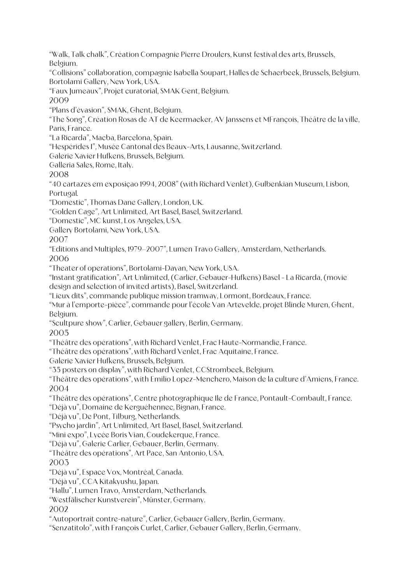"Walk, Talk chalk", Création Compagnie Pierre Droulers, Kunst festival des arts, Brussels, Belgium.

"Collisions" collaboration, compagnie Isabella Soupart, Halles de Schaerbeek, Brussels, Belgium. Bortolami Gallery, New York, USA.

"Faux Jumeaux", Projet curatorial, SMAK Gent, Belgium.

2009

"Plans d'évasion", SMAK, Ghent, Belgium.

"The Song", Création Rosas de AT de Keermaeker, AV Janssens et MFrançois, Théâtre de la ville, Paris, France.

"La Ricarda", Macba, Barcelona, Spain.

"Hespérides I", Musée Cantonal des Beaux-Arts, Lausanne, Switzerland.

Galerie Xavier Hufkens, Brussels, Belgium.

Galleria Sales, Rome, Italy.

2008

"40 cartazes em exposiçao 1994, 2008" (with Richard Venlet), Gulbenkian Museum, Lisbon, Portugal.

"Domestic", Thomas Dane Gallery, London, UK.

"Golden Cage", Art Unlimited, Art Basel, Basel, Switzerland.

"Domestic", MC kunst, Los Angeles, USA.

Gallery Bortolami, New York, USA.

2007

"Editions and Multiples, 1979–2007", Lumen Travo Gallery, Amsterdam, Netherlands. 2006

"Theater of operations", Bortolami-Dayan, New York, USA.

"Instant gratification", Art Unlimited, (Carlier, Gebauer-Hufkens) Basel - La Ricarda, (movie design and selection of invited artists), Basel, Switzerland.

"Lieux dits", commande publique mission tramway, Lormont, Bordeaux, France.

"Mur à l'emporte-pièce", commande pour l'école Van Artevelde, projet Blinde Muren, Ghent, Belgium.

"Scultpure show", Carlier, Gebauer gallery, Berlin, Germany.

2005

"Théâtre des opérations", with Richard Venlet, Frac Haute-Normandie, France.

"Théâtre des opérations", with Richard Venlet, Frac Aquitaine, France.

Galerie Xavier Hufkens, Brussels, Belgium.

"35 posters on display", with Richard Venlet, CCStrombeek, Belgium.

"Théâtre des opérations", with Emilio Lopez-Menchero, Maison de la culture d'Amiens, France. 2004

"Théâtre des opérations", Centre photographique Ile de France, Pontault-Combault, France.

"Déjà vu", Domaine de Kerguéhennec, Bignan, France.

"Déjà vu", De Pont, Tilburg, Netherlands.

"Psycho jardin", Art Unlimited, Art Basel, Basel, Switzerland.

"Mini expo", Lycée Boris Vian, Coudekerque, France.

"Déjà vu", Galerie Carlier, Gebauer, Berlin, Germany.

"Théâtre des opérations", Art Pace, San Antonio, USA.

2003

"Déjà vu", Espace Vox, Montréal, Canada.

"Déjà vu", CCA Kitakyushu, Japan.

"Hallu", Lumen Travo, Amsterdam, Netherlands.

"Westfälischer Kunstverein", Münster, Germany.

2002

"Autoportrait contre-nature", Carlier, Gebauer Gallery, Berlin, Germany.

"Senzatitolo", with François Curlet, Carlier, Gebauer Gallery, Berlin, Germany.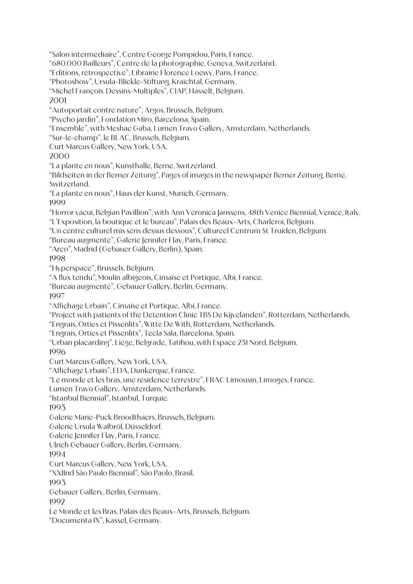"Salon intermédiaire", Centre George Pompidou, Paris, France.

"680.000 Bailleurs", Centre de la photographie, Geneva, Switzerland.

"Editions, rétrospective", Librairie Florence Loewy, Paris, France.

"Photoshow", Ursula-Blickle-Stiftung, Kraichtal, Germany.

"Michel François. Dessins-Multiples", CIAP, Hasselt, Belgium.

2001

"Autoportait contre nature", Argos, Brussels, Belgium.

"Psycho jardin", Fondation Miro, Barcelona, Spain.

"Ensemble", with Meshac Gaba, Lumen Travo Gallery, Amsterdam, Netherlands.

"Sur-le-champ", le BLAC, Brussels, Belgium.

Curt Marcus Gallery, New York, USA.

2000

"La plante en nous", Kunsthalle, Berne, Switzerland.

"Bildseiten in der Berner Zeitung", Pages of images in the newspaper Berner Zeitung, Berne, Switzerland.

"La plante en nous", Haus der Kunst, Munich, Germany.

1999

"Horror vacui, Belgian Pavillion", with Ann Veronica Janssens, 48th Venice Biennial, Venice, Italy. "L'Exposition, la boutique et le bureau", Palais des Beaux-Arts, Charleroi, Belgium.

"Un centre culturel mis sens dessus dessous", Cultureel Centrum St Truiden, Belgium.

"Bureau augmenté", Galerie Jennifer Flay, Paris, France.

"Arco", Madrid (Gebauer Gallery, Berlin), Spain.

1998

"Hyperspace", Brussels, Belgium.

"A flux tendu", Moulin albigeois, Cimaise et Portique, Albi, France.

"Bureau augmenté", Gebauer Gallery, Berlin, Germany.

1997

"Affichage Urbain", Cimaise et Portique, Albi, France.

"Project with patients of the Detention Clinic TBS De Kijvelanden", Rotterdam, Netherlands.

"Engrais, Orties et Pissenlits", Witte De With, Rotterdam, Netherlands.

"Engrais, Orties et Pissenlits", Tecla Sala, Barcelona, Spain.

"Urban placarding", Liège, Belgrade, Tatihou, with Espace 251 Nord, Belgium.

1996

Curt Marcus Gallery, New York, USA.

"Affichage Urbain", EDA, Dunkerque, France.

"Le monde et les bras, une résidence terrestre", FRAC Limousin, Limoges, France.

Lumen Travo Gallery, Amsterdam, Netherlands.

"Istanbul Biennial", Istanbul, Turquie.

1995

Galerie Marie-Puck Broodthaers, Brussels, Belgium.

Galerie Ursula Walbröl, Düsseldorf.

Galerie Jennifer Flay, Paris, France.

Ulrich Gebauer Gallery, Berlin, Germany.

1994

Curt Marcus Gallery, New York, USA.

"XXIInd São Paulo Biennial", São Paolo, Brasil.

1993

Gebauer Gallery, Berlin, Germany.

1992

Le Monde et les Bras, Palais des Beaux-Arts, Brussels, Belgium.

"Documenta IX", Kassel, Germany.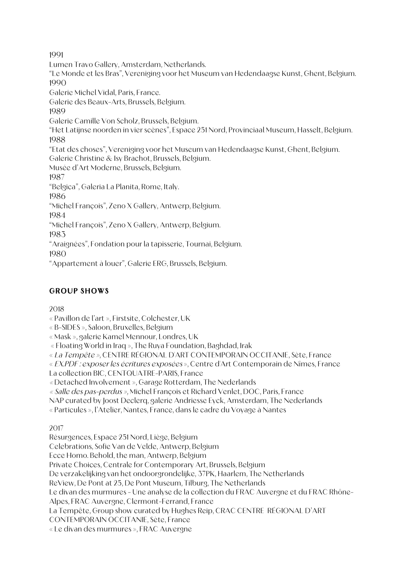1991

Lumen Travo Gallery, Amsterdam, Netherlands. "Le Monde et les Bras", Vereniging voor het Museum van Hedendaagse Kunst, Ghent, Belgium. 1990 Galerie Michel Vidal, Paris, France. Galerie des Beaux-Arts, Brussels, Belgium. 1989 Galerie Camille Von Scholz, Brussels, Belgium. "Het Latijnse noorden in vier scènes", Espace 251 Nord, Provinciaal Museum, Hasselt, Belgium. 1988 "Etat des choses", Vereniging voor het Museum van Hedendaagse Kunst, Ghent, Belgium. Galerie Christine & Isy Brachot, Brussels, Belgium. Musée d'Art Moderne, Brussels, Belgium. 1987 "Belgica", Galeria La Planita, Rome, Italy. 1986 "Michel François", Zeno X Gallery, Antwerp, Belgium. 1984 "Michel François", Zeno X Gallery, Antwerp, Belgium. 1983 "Araignées", Fondation pour la tapisserie, Tournai, Belgium. 1980 "Appartement à louer", Galerie ERG, Brussels, Belgium.

# **GROUP SHOWS**

# 2018

« Pavillon de l'art », Firstsite, Colchester, UK

« B-SIDES », Saloon, Bruxelles, Belgium

« Mask », galerie Kamel Mennour, Londres, UK

« Floating World in Iraq », The Ruya Foundation, Baghdad, Irak

« La Tempête », CENTRE RÉGIONAL D'ART CONTEMPORAIN OCCITANIE, Sète, France

« EX.PDF : exposer les écritures exposées », Centre d'Art Contemporain de Nîmes, France

La collection BIC, CENTQUATRE-PARIS, France

« Detached Involvement », Garage Rotterdam, The Nederlands

« Salle des pas-perdus », Michel François et Richard Venlet, DOC, Paris, France

NAP curated by Joost Declerq, galerie Andriesse Eyck, Amsterdam, The Nederlands

« Particules », l'Atelier, Nantes, France, dans le cadre du Voyage à Nantes

2017

Résurgences, Espace 251 Nord, Liège, Belgium

Celebrations, Sofie Van de Velde, Antwerp, Belgium

Ecce Homo. Behold, the man, Antwerp, Belgium

Private Choices, Centrale for Contemporary Art, Brussels, Belgium

De verzakelijking van het ondoorgrondelijke, 37PK, Haarlem, The Netherlands

ReView, De Pont at 25, De Pont Museum, Tilburg, The Netherlands

Le divan des murmures - Une analyse de la collection du FRAC Auvergne et du FRAC Rhône-

Alpes, FRAC Auvergne, Clermont-Ferrand, France

La Tempête, Group show curated by Hughes Reip, CRAC CENTRE RÉGIONAL D'ART

CONTEMPORAIN OCCITANIE, Sète, France

« Le divan des murmures », FRAC Auvergne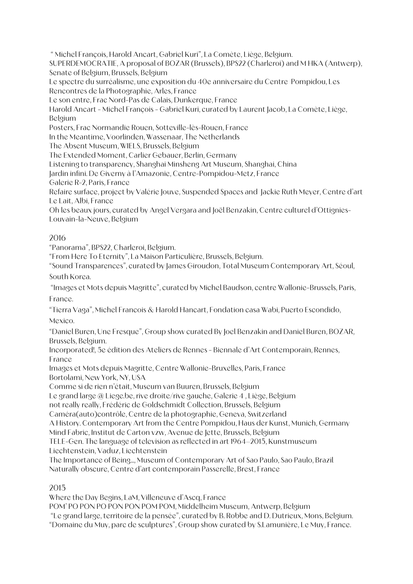" Michel François, Harold Ancart, Gabriel Kuri", La Comète, Liège, Belgium.

SUPERDEMOCRATIE, A proposal of BOZAR (Brussels), BPS22 (Charleroi) and M HKA (Antwerp), Senate of Belgium, Brussels, Belgium

Le spectre du surréalisme, une exposition du 40e anniversaire du Centre Pompidou, Les Rencontres de la Photographie, Arles, France

Le son entre, Frac Nord-Pas de Calais, Dunkerque, France

Harold Ancart - Michel François - Gabriel Kuri, curated by Laurent Jacob, La Comète, Liège, Belgium

Posters, Frac Normandie Rouen, Sotteville-lès-Rouen, France

In the Meantime, Voorlinden, Wassenaar, The Netherlands

The Absent Museum, WIELS, Brussels, Belgium

The Extended Moment, Carlier Gebauer, Berlin, Germany

Listening to transparency, Shanghai Minsheng Art Museum, Shanghai, China

Jardin infini. De Giverny à l'Amazonie, Centre-Pompidou-Metz, France

Galerie R-2, Paris, France

Refaire surface, project by Valérie Jouve, Suspended Spaces and Jackie Ruth Meyer, Centre d'art Le Lait, Albi, France

Oh les beaux jours, curated by Angel Vergara and Joël Benzakin, Centre culturel d'Ottignies-Louvain-la-Neuve, Belgium

#### 2016

"Panorama", BPS22, Charleroi, Belgium.

"From Here To Eternity", La Maison Particulière, Brussels, Belgium.

"Sound Transparences", curated by James Giroudon, Total Museum Contemporary Art, Séoul, South Korea.

"Images et Mots depuis Magritte", curated by Michel Baudson, centre Wallonie-Brussels, Paris, France.

"Tierra Vaga", Michel Francois & Harold Hancart, Fondation casa Wabi, Puerto Escondido, Mexico.

"Daniel Buren, Une Fresque", Group show curated By Joel Benzakin and Daniel Buren, BOZAR, Brussels, Belgium.

Incorporated!, 5e édition des Ateliers de Rennes - Biennale d'Art Contemporain, Rennes, France

Images et Mots depuis Magritte, Centre Wallonie-Bruxelles, Paris, France Bortolami, New York, NY, USA

Comme si de rien n'était, Museum van Buuren, Brussels, Belgium

Le grand large @ Liege.be, rive droite/rive gauche, Galerie 4 , Liège, Belgium

not really really, Frédéric de Goldschmidt Collection, Brussels, Belgium

Caméra(auto)contrôle, Centre de la photographie, Geneva, Switzerland

A History. Contemporary Art from the Centre Pompidou, Haus der Kunst, Munich, Germany

Mind Fabric, Institut de Carton vzw, Avenue de Jette, Brussels, Belgium

TELE-Gen. The language of television as reflected in art 1964–2015, Kunstmuseum Liechtenstein, Vaduz, Liechtenstein

The Importance of Being..., Museum of Contemporary Art of Sao Paulo, Sao Paulo, Brazil Naturally obscure, Centre d'art contemporain Passerelle, Brest, France

# 2015

Where the Day Begins, LaM, Villeneuve d'Ascq, France

POM' PO PON PO PON PON POM POM, Middelheim Museum, Antwerp, Belgium

"Le grand large, territoire de la pensée", curated by B. Robbe and D. Dutrieux, Mons, Belgium. "Domaine du Muy, parc de sculptures", Group show curated by S.Lamunière, Le Muy, France.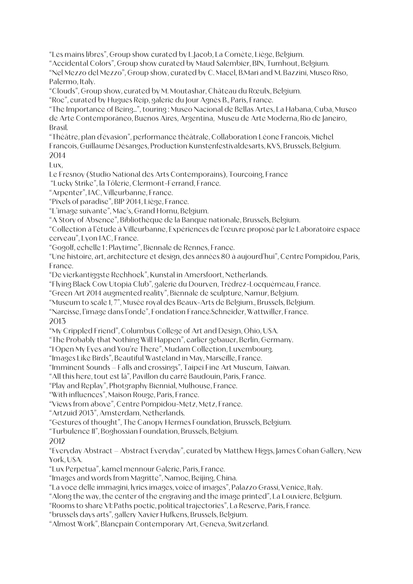"Les mains libres", Group show curated by L.Jacob, La Comète, Liège, Belgium.

"Accidental Colors", Group show curated by Maud Salembier, BIN, Turnhout, Belgium.

"Nel Mezzo del Mezzo", Group show, curated by C. Macel, B.Mari and M. Bazzini, Museo Riso, Palermo, Italy.

"Clouds", Group show, curated by M. Moutashar, Château du Rœulx, Belgium.

"Roc", curated by Hugues Reip, galerie du Jour Agnès B., Paris, France.

"The Importance of Being...", touring : Museo Nacional de Bellas Artes, La Habana, Cuba, Museo de Arte Contemporáneo, Buenos Aires, Argentina, Museu de Arte Moderna, Rio de Janeiro, Brasil.

"Théâtre, plan d'évasion", performance théâtrale, Collaboration Léone Francois, Michel Francois, Guillaume Désanges, Production Kunstenfestivaldesarts, KVS, Brussels, Belgium. 2014

Lux,

Le Fresnoy (Studio National des Arts Contemporains), Tourcoing, France

"Lucky Strike", la Tôlerie, Clermont-Ferrand, France.

"Arpenter", IAC, Villeurbanne, France.

"Pixels of paradise", BIP 2014, Liège, France.

"L'image suivante", Mac's, Grand Hornu, Belgium.

"A Story of Absence", Bibliothèque de la Banque nationale, Brussels, Belgium.

"Collection à l'étude à Villeurbanne, Expériences de l'œuvre proposé par le Laboratoire espace cerveau", Lyon IAC, France.

"Gogolf, echelle 1 : Playtime", Biennale de Rennes, France.

"Une histoire, art, architecture et design, des années 80 à aujourd'hui", Centre Pompidou, Paris, France.

"De vierkantiggste Rechhoek", Kunstal in Amersfoort, Netherlands.

"Flying Black Cow Utopia Club", galerie du Dourven, Trédrez-Locquémeau, France.

"Green Art 2014 augmented reality", Biennale de sculpture, Namur, Belgium.

"Museum to scale 1, 7", Musée royal des Beaux-Arts de Belgium., Brussels, Belgium.

"Narcisse, l'image dans l'onde", Fondation France.Schneider, Wattwiller, France.

2013

"My Crippled Friend", Columbus College of Art and Design, Ohio, USA.

"The Probably that Nothing Will Happen", carlier gebauer, Berlin, Germany.

"I Open My Eyes and You're There", Mudam Collection, Luxembourg.

"Images Like Birds", Beautiful Wasteland in May, Marseille, France.

"Imminent Sounds – Falls and crossings", Taipei Fine Art Museum, Taiwan.

"All this here, tout est lá", Pavillon du carré Baudouin, Paris, France.

"Play and Replay", Photgraphy Biennial, Mulhouse, France.

"With influences", Maison Rouge, Paris, France.

"Views from above", Centre Pompidou-Metz, Metz, France.

"Artzuid 2013", Amsterdam, Netherlands.

"Gestures of thought", The Canopy Hermes Foundation, Brussels, Belgium.

"Turbulence II", Boghossian Foundation, Brussels, Belgium.

# 2012

"Everyday Abstract – Abstract Everyday", curated by Matthew Higgs, James Cohan Gallery, New York, USA.

"Lux Perpetua", kamel mennour Galerie, Paris, France.

"Images and words from Magritte", Namoc, Beijing, China.

"La voce delle immagini, lyrics images, voice of images", Palazzo Grassi, Venice, Italy.

"Along the way, the center of the engraving and the image printed", La Louviere, Belgium.

"Rooms to share VI: Paths poetic, political trajectories", La Reserve, Paris, France.

"brussels days arts", gallery Xavier Hufkens, Brussels, Belgium.

"Almost Work", Blancpain Contemporary Art, Geneva, Switzerland.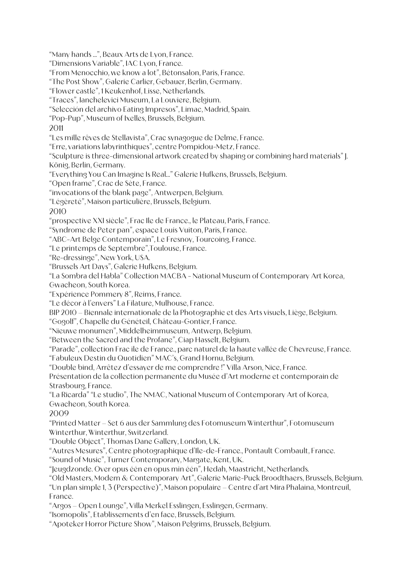"Many hands …", Beaux Arts de Lyon, France. "Dimensions Variable", IAC Lyon, France. "From Menocchio, we know a lot", Bétonsalon, Paris, France. "The Post Show", Galerie Carlier, Gebauer, Berlin, Germany. "Flower castle", 1 Keukenhof, Lisse, Netherlands. "Traces", Ianchelevici Museum, La Louviere, Belgium. "Selección del archivo Eating Impresos", Limac, Madrid, Spain. "Pop-Pup", Museum of Ixelles, Brussels, Belgium. 2011 "Les mille rêves de Stellavista", Crac synagogue de Delme, France. "Erre, variations labyrinthiques", centre Pompidou-Metz, France. "Sculpture is three-dimensional artwork created by shaping or combining hard materials" J. König, Berlin, Germany. "Everything You Can Imagine Is Real…" Galerie Hufkens, Brussels, Belgium. "Open frame", Crac de Sète, France. "invocations of the blank page", Antwerpen, Belgium. "Légèreté", Maison particulière, Brussels, Belgium. 2010 "prospective XXI siècle", Frac Ile de France., le Plateau, Paris, France. "Syndrome de Peter pan", espace Louis Vuiton, Paris, France. "ABC-Art Belge Contemporain", Le Fresnoy, Tourcoing, France. "Le printemps de Septembre",Toulouse, France. "Re-dressinge", New York, USA. "Brussels Art Days", Galerie Hufkens, Belgium. "La Sombra del Habla" Collection MACBA - National Museum of Contemporary Art Korea, Gwacheon, South Korea. "Expérience Pommery 8", Reims, France. "Le décor à l'envers" La Filature, Mulhouse, France. BIP 2010 – Biennale internationale de la Photographie et des Arts visuels, Liège, Belgium. "Gogolf", Chapelle du Généteil, Château-Gontier, France. "Nieuwe monumen", Middelheimmuseum, Antwerp, Belgium. "Between the Sacred and the Profane", Ciap Hasselt, Belgium. "Parade", collection Frac ile de France., parc naturel de la haute vallée de Chevreuse, France. "Fabuleux Destin du Quotidien" MAC's, Grand Hornu, Belgium. "Double bind, Arrêtez d'essayer de me comprendre !" Villa Arson, Nice, France. Présentation de la collection permanente du Musée d'Art moderne et contemporain de Strasbourg, France. "La Ricarda" "Le studio", The NMAC, National Museum of Contemporary Art of Korea, Gwacheon, South Korea. 2009 "Printed Matter – Set 6 aus der Sammlung des Fotomuseum Winterthur", Fotomuseum

Winterthur, Winterthur, Switzerland.

"Double Object", Thomas Dane Gallery, London, UK.

"Autres Mesures", Centre photographique d'Ile-de-France., Pontault Combault, France.

"Sound of Music", Turner Contemporary, Margate, Kent, UK.

"Jeugdzonde. Over opus één en opus min één", Hedah, Maastricht, Netherlands.

"Old Masters, Modern & Contemporary Art", Galerie Marie-Puck Broodthaers, Brussels, Belgium.

"Un plan simple 1, 3 (Perspective)", Maison populaire – Centre d'art Mira Phalaina, Montreuil, France.

"Argos – Open Lounge", Villa Merkel Esslingen, Esslingen, Germany.

"Isomopolis", Etablissements d'en face, Brussels, Belgium.

"Apoteker Horror Picture Show", Maison Pelgrims, Brussels, Belgium.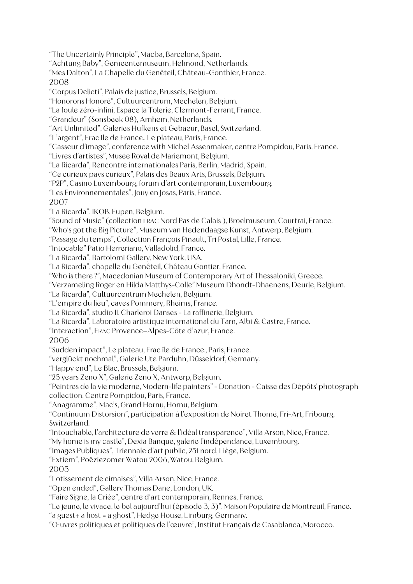"The Uncertainly Principle", Macba, Barcelona, Spain.

"Achtung Baby", Gemeentemuseum, Helmond, Netherlands.

"Mes Dalton", La Chapelle du Genêteil, Château-Gonthier, France. 2008

"Corpus Delicti", Palais de justice, Brussels, Belgium.

"Honorons Honoré", Cultuurcentrum, Mechelen, Belgium.

"La foule zéro-infini, Espace la Tolerie, Clermont-Ferrant, France.

"Grandeur" (Sonsbeek 08), Arnhem, Netherlands.

"Art Unlimited", Galeries Hufkens et Gebaeur, Basel, Switzerland.

"L'argent", Frac Ile de France., Le plateau, Paris, France.

"Casseur d'image", conference with Michel Assenmaker, centre Pompidou, Paris, France.

"Livres d'artistes", Musée Royal de Mariemont, Belgium.

"La Ricarda", Rencontre internationales Paris, Berlin, Madrid, Spain.

"Ce curieux pays curieux", Palais des Beaux Arts, Brussels, Belgium.

"P2P", Casino Luxembourg, forum d'art contemporain, Luxembourg.

"Les Environnementales", Jouy en Josas, Paris, France.

2007

"La Ricarda", IKOB, Eupen, Belgium.

"Sound of Music" (collection FRAC Nord Pas de Calais ), Broelmuseum, Courtrai, France.

"Who's got the Big Picture", Museum van Hedendaagse Kunst, Antwerp, Belgium.

"Passage du temps", Collection François Pinault, Tri Postal, Lille, France.

"Intocable" Patio Herreriano, Valladolid, France.

"La Ricarda", Bartolomi Gallery, New York, USA.

"La Ricarda", chapelle du Genêteil, Château Gontier, France.

"Who is there ?", Macedonian Museum of Contemporary Art of Thessaloniki, Greece.

"Verzameling Roger en Hilda Matthys-Colle" Museum Dhondt-Dhaenens, Deurle, Belgium.

"La Ricarda", Cultuurcentrum Mechelen, Belgium.

"L'empire du lieu", caves Pommery, Rheims, France.

"La Ricarda", studio II, Charleroi Danses - La raffinerie, Belgium.

"La Ricarda", Laboratoire artistique international du Tarn, Albi & Castre, France.

"Interaction", FRAC Provence–Alpes-Côte d'azur, France.

2006

"Sudden impact", Le plateau, Frac île de France., Paris, France.

"verglückt nochmal", Galerie Ute Parduhn, Düsseldorf, Germany.

"Happy end", Le Blac, Brussels, Belgium.

"25 years Zeno X", Galerie Zeno X, Antwerp, Belgium.

"Peintres de la vie moderne, Modern-life painters" - Donation - Caisse des Dépôts' photograph collection, Centre Pompidou, Paris, France.

"Anagramme", Mac's, Grand Hornu, Hornu, Belgium.

"Continuum Distorsion", participation à l'exposition de Noiret Thomé, Fri-Art, Fribourg, Switzerland.

"Intouchable, l'architecture de verre & l'idéal transparence", Villa Arson, Nice, France.

"My home is my castle", Dexia Banque, galerie l'indépendance, Luxembourg.

"Images Publiques", Triennale d'art public, 251 nord, Liège, Belgium.

"Extiem", Poëziezomer Watou 2006, Watou, Belgium.

2005

"Lotissement de cimaises", Villa Arson, Nice, France.

"Open ended", Gallery Thomas Dane, London, UK.

"Faire Signe, la Criée", centre d'art contemporain, Rennes, France.

"Le jeune, le vivace, le bel aujourd'hui (épisode 3, 3)", Maison Populaire de Montreuil, France.

"a guest+ a host = a ghost", Hedge House, Limburg, Germany.

"Œuvres politiques et politiques de l'œuvre", Institut Français de Casablanca, Morocco.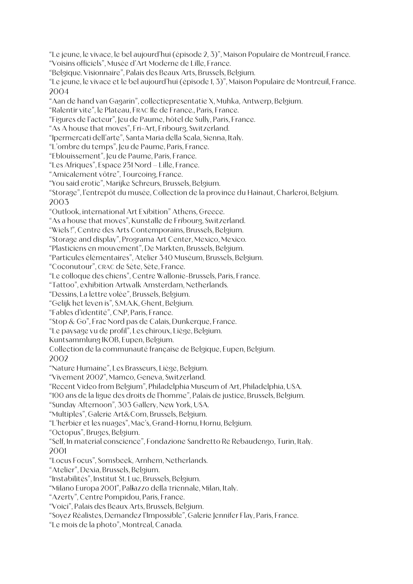"Le jeune, le vivace, le bel aujourd'hui (épisode 2, 3)", Maison Populaire de Montreuil, France. "Voisins officiels", Musée d'Art Moderne de Lille, France. "Belgique. Visionnaire", Palais des Beaux Arts, Brussels, Belgium. "Le jeune, le vivace et le bel aujourd'hui (épisode 1, 3)", Maison Populaire de Montreuil, France. 2004 "Aan de hand van Gagarin", collectiepresentatie X, Muhka, Antwerp, Belgium. "Ralentir vite", le Plateau, FRAC Ile de France., Paris, France. "Figures de l'acteur", Jeu de Paume, hôtel de Sully, Paris, France. "As A house that moves", Fri-Art, Fribourg, Switzerland. "Ipermercati dell'arte", Santa Maria della Scala, Sienna, Italy. "L'ombre du temps", Jeu de Paume, Paris, France. "Eblouissement", Jeu de Paume, Paris, France. "Les Afriques", Espace 251 Nord – Lille, France. "Amicalement vôtre", Tourcoing, France. "You said erotic", Marijke Schreurs, Brussels, Belgium. "Storage", l'entrepôt du musée, Collection de la province du Hainaut, Charleroi, Belgium. 2003 "Outlook, international Art Exibition" Athens, Greece. "As a house that moves", Kunstalle de Fribourg, Switzerland. "Wiels !", Centre des Arts Contemporains, Brussels, Belgium. "Storage and display", Programa Art Center, Mexico, Mexico. "Plasticiens en mouvement", De Markten, Brussels, Belgium. "Particules élémentaires", Atelier 340 Muséum, Brussels, Belgium. "Coconutour", CRAC de Sète, Sète, France. "Le colloque des chiens", Centre Wallonie-Brussels, Paris, France. "Tattoo", exhibition Artwalk Amsterdam, Netherlands. "Dessins, La lettre volée", Brussels, Belgium. "Gelijk het leven is", S.M.A.K, Ghent, Belgium. "Fables d'identité", CNP, Paris, France. "Stop & Go", Frac Nord pas de Calais, Dunkerque, France. "Le paysage vu de profil", Les chiroux, Liège, Belgium. Kuntsammlung IKOB, Eupen, Belgium. Collection de la communauté française de Belgique, Eupen, Belgium. 2002 "Nature Humaine", Les Brasseurs, Liège, Belgium. "Vivement 2002", Mamco, Geneva, Switzerland. "Recent Video from Belgium", Philadelphia Museum of Art, Philadelphia, USA. "100 ans de la ligue des droits de l'homme", Palais de justice, Brussels, Belgium. "Sunday Afternoon", 303 Gallery, New York, USA. "Multiples", Galerie Art&Com, Brussels, Belgium. "L'herbier et les nuages", Mac's, Grand-Hornu, Hornu, Belgium. "Octopus", Bruges, Belgium. "Self, In material conscience", Fondazione Sandretto Re Rebaudengo, Turin, Italy. 2001 "Locus Focus", Somsbeek, Arnhem, Netherlands. "Atelier", Dexia, Brussels, Belgium. "Instabilités", Institut St. Luc, Brussels, Belgium. "Milano Europa 2001", Pallazzo della Triennale, Milan, Italy. "Azerty", Centre Pompidou, Paris, France. "Voici", Palais des Beaux Arts, Brussels, Belgium. "Soyez Réalistes, Demandez l'Impossible", Galerie Jennifer Flay, Paris, France. "Le mois de la photo", Montreal, Canada.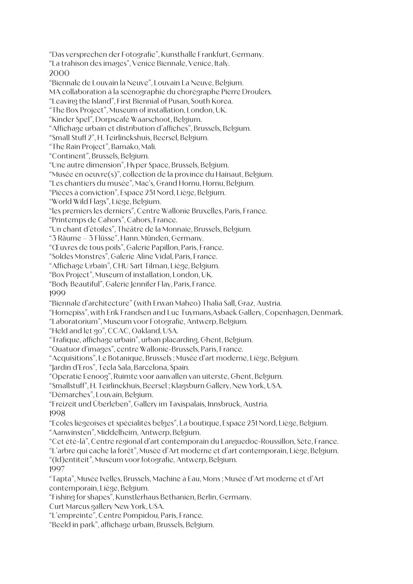"Das versprechen der Fotografie", Kunsthalle Frankfurt, Germany. "La trahison des images", Venice Biennale, Venice, Italy. 2000 "Biennale de Louvain la Neuve", Louvain La Neuve, Belgium. MA collaboration à la scénographie du chorégraphe Pierre Droulers. "Leaving the Island", First Biennial of Pusan, South Korea. "The Box Project", Museum of installation, London, UK. "Kinder Spel", Dorpscafé Waarschoot, Belgium. "Affichage urbain et distribution d'affiches", Brussels, Belgium. "Small Stuff 2", H. Teirlinckshuis, Beersel, Belgium. "The Rain Project", Bamako, Mali. "Continent", Brussels, Belgium. "Une autre dimension", Hyper Space, Brussels, Belgium. "Musée en oeuvre(s)", collection de la province du Hainaut, Belgium. "Les chantiers du musée", Mac's, Grand Hornu, Hornu, Belgium. "Pièces à conviction", Espace 251 Nord, Liège, Belgium. "World Wild Flags", Liège, Belgium. "les premiers les derniers", Centre Wallonie Bruxelles, Paris, France. "Printemps de Cahors", Cahors, France. "Un chant d'étoiles", Théâtre de la Monnaie, Brussels, Belgium. "3 Räume – 3 Flüsse", Hann. Münden, Germany. "Œuvres de tous poils", Galerie Papillon, Paris, France. "Soldes Monstres", Galerie Aline Vidal, Paris, France. "Affichage Urbain", CHU Sart Tilman, Liège, Belgium. "Box Project", Museum of installation, London, UK. "Body Beautiful", Galerie Jennifer Flay, Paris, France. 1999 "Biennale d'architecture" (with Erwan Maheo) Thalia Sall, Graz, Austria. "Homepiss", with Erik Frandsen and Luc Tuymans,Asbaek Gallery, Copenhagen, Denmark. "Laboratorium", Museum voor Fotografie, Antwerp, Belgium. "Held and let go", CCAC, Oakland, USA. "Trafique, affichage urbain", urban placarding, Ghent, Belgium. "Quatuor d'images", centre Wallonie-Brussels, Paris, France. "Acquisitions", Le Botanique, Brussels ; Musée d'art moderne, Liège, Belgium. "Jardin d'Eros", Tecla Sala, Barcelona, Spain. "Operatie Eenoog", Ruimte voor aanvallen van uiterste, Ghent, Belgium. "Smallstuff", H. Teirlinckhuis, Beersel ; Klagsburn Gallery, New York, USA. "Démarches", Louvain, Belgium. "Freizeit und Überleben", Gallery im Taxispalais, Innsbruck, Austria. 1998 "Ecoles liégeoises et spécialités belges", La boutique, Espace 251 Nord, Liège, Belgium. "Aanwinsten", Middelheim, Antwerp, Belgium. "Cet été-là", Centre régional d'art contemporain du Languedoc-Roussillon, Sète, France. "L'arbre qui cache la forêt", Musée d'Art moderne et d'art contemporain, Liège, Belgium. "(Id)entiteit", Muséum voor fotografie, Antwerp, Belgium. 1997 "Tapta", Musée Ixelles, Brussels, Machine à Eau, Mons ; Musée d'Art moderne et d'Art contemporain, Liège, Belgium. "Fishing for shapes", Kunstlerhaus Bethanien, Berlin, Germany. Curt Marcus gallery New York, USA. "L'empreinte", Centre Pompidou, Paris, France. "Beeld in park", affichage urbain, Brussels, Belgium.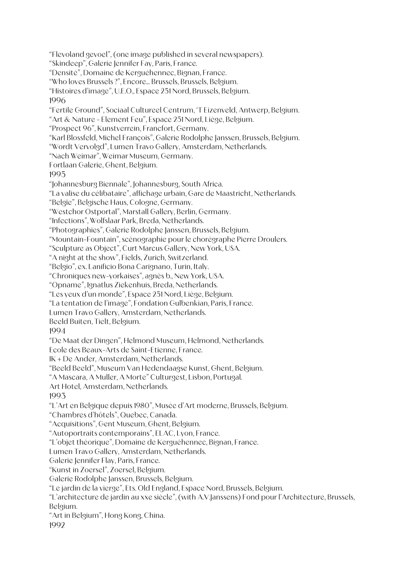"Flevoland gevoel", (one image published in several newspapers). "Skindeep", Galerie Jennifer Fay, Paris, France. "Densité", Domaine de Kerguéhennec, Bignan, France. "Who loves Brussels ?", Encore... Brussels, Brussels, Belgium. "Histoires d'image", U.E.O., Espace 251 Nord, Brussels, Belgium. 1996 "Fertile Ground", Sociaal Cultureel Centrum, 'T Eizenveld, Antwerp, Belgium. "Art & Nature - Element Feu", Espace 251 Nord, Liège, Belgium. "Prospect 96", Kunstverrein, Francfort, Germany. "Karl Blossfeld, Michel François", Galerie Rodolphe Janssen, Brussels, Belgium. "Wordt Vervolgd", Lumen Travo Gallery, Amsterdam, Netherlands. "Nach Weimar", Weimar Museum, Germany. Fortlaan Galerie, Ghent, Belgium. 1995 "Johannesburg Biennale", Johannesburg, South Africa. "La valise du célibataire", affichage urbain, Gare de Maastricht, Netherlands. "Belgïe", Belgische Haus, Cologne, Germany. "Westchor Ostportal", Marstall Gallery, Berlin, Germany. "Infections", Wolfslaar Park, Breda, Netherlands. "Photographies", Galerie Rodolphe Janssen, Brussels, Belgium. "Mountain-Fountain", scénographie pour le chorégraphe Pierre Droulers. "Sculpture as Object", Curt Marcus Gallery, New York, USA. "A night at the show", Fields, Zurich, Switzerland. "Belgio", ex. Lanificio Bona Carignano, Turin, Italy. "Chroniques new-yorkaises", agnès b., New York, USA. "Opname", Ignatlus Ziekenhuis, Breda, Netherlands. "Les yeux d'un monde", Espace 251 Nord, Liège, Belgium. "La tentation de l'image", Fondation Gulbenkian, Paris, France. Lumen Travo Gallery, Amsterdam, Netherlands. Beeld Buiten, Tielt, Belgium. 1994 "De Maat der Dingen", Helmond Museum, Helmond, Netherlands. Ecole des Beaux-Arts de Saint-Etienne, France. IK + De Ander, Amsterdam, Netherlands. "Beeld Beeld", Museum Van Hedendaagse Kunst, Ghent, Belgium. "A Mascara, A Muller, A Morte" Culturgest, Lisbon, Portugal. Art Hotel, Amsterdam, Netherlands. 1993 "L'Art en Belgique depuis 1980", Musée d'Art moderne, Brussels, Belgium. "Chambres d'hôtels", Quebec, Canada. "Acquisitions", Gent Museum, Ghent, Belgium. "Autoportraits contemporains", ELAC, Lyon, France. "L'objet théorique", Domaine de Kerguéhennec, Bignan, France. Lumen Travo Gallery, Amsterdam, Netherlands. Galerie Jennifer Flay, Paris, France. "Kunst in Zoersel", Zoersel, Belgium. Galerie Rodolphe Janssen, Brussels, Belgium. "Le jardin de la vierge", Ets. Old England, Espace Nord, Brussels, Belgium. "L'architecture de jardin au xxe siècle", (with A.V.Janssens) Fond pour l'Architecture, Brussels, Belgium. "Art in Belgium", Hong Kong, China. 1992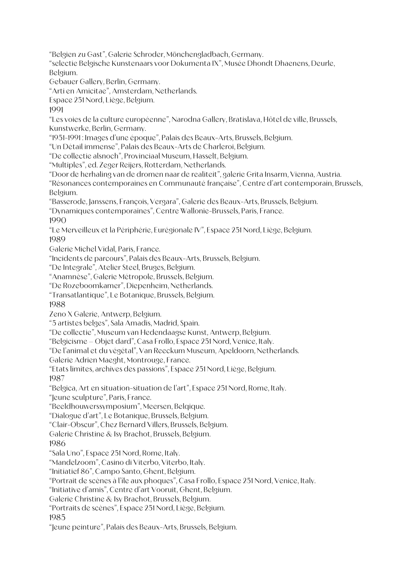"Belgien zu Gast", Galerie Schroder, Mönchengladbach, Germany.

"selectie Belgische Kunstenaars voor Dokumenta IX", Musée Dhondt Dhaenens, Deurle, Belgium.

Gebauer Gallery, Berlin, Germany.

"Arti en Amicitae", Amsterdam, Netherlands.

Espace 251 Nord, Liège, Belgium.

1991

"Les voies de la culture européenne", Narodna Gallery, Bratislava, Hôtel de ville, Brussels, Kunstwerke, Berlin, Germany.

"1951-1991 : Images d'une époque", Palais des Beaux-Arts, Brussels, Belgium.

"Un Détail immense", Palais des Beaux-Arts de Charleroi, Belgium.

"De collectie alsnoch", Provinciaal Museum, Hasselt, Belgium.

"Multiples", ed. Zeger Reijers, Rotterdam, Netherlands.

"Door de herhaling van de dromen naar de realiteit", galerie Grita Insarm, Vienna, Austria.

"Résonances contemporaines en Communauté française", Centre d'art contemporain, Brussels, Belgium.

"Basserode, Janssens, François, Vergara", Galerie des Beaux-Arts, Brussels, Belgium.

"Dynamiques contemporaines", Centre Wallonie-Brussels, Paris, France.

1990

"Le Merveilleux et la Périphérie, Eurégionale IV", Espace 251 Nord, Liège, Belgium. 1989

Galerie Michel Vidal, Paris, France.

"Incidents de parcours", Palais des Beaux-Arts, Brussels, Belgium.

"De Integrale", Atelier Steel, Bruges, Belgium.

"Anamnèse", Galerie Métropole, Brussels, Belgium.

"De Rozeboomkamer", Diepenheim, Netherlands.

"Transatlantique", Le Botanique, Brussels, Belgium.

1988

Zeno X Galerie, Antwerp, Belgium.

"5 artistes belges", Sala Amadis, Madrid, Spain.

"De collectie", Museum van Hedendaagse Kunst, Antwerp, Belgium.

"Belgicisme – Objet dard", Casa Frollo, Espace 251 Nord, Venice, Italy.

"De l'animal et du végétal", Van Reeckum Museum, Apeldoorn, Netherlands.

Galerie Adrien Maeght, Montrouge, France.

"Etats limites, archives des passions", Espace 251 Nord, Liège, Belgium. 1987

"Belgica, Art en situation-situation de l'art", Espace 251 Nord, Rome, Italy.

"Jeune sculpture", Paris, France.

"Beeldhouwerssymposium", Meersen, Belqique.

"Dialogue d'art", Le Botanique, Brussels, Belgium.

"Clair-Obscur", Chez Bernard Villers, Brussels, Belgium.

Galerie Christine & Isy Brachot, Brussels, Belgium.

1986

"Sala Uno", Espace 251 Nord, Rome, Italy.

"Mandelzoom", Casino di Viterbo, Viterbo, Italy.

"Initiatief 86", Campo Santo, Ghent, Belgium.

"Portrait de scènes à l'île aux phoques", Casa Frollo, Espace 251 Nord, Venice, Italy.

"Initiative d'amis", Centre d'art Vooruit, Ghent, Belgium.

Galerie Christine & Isy Brachot, Brussels, Belgium.

"Portraits de scènes", Espace 251 Nord, Liège, Belgium.

1985

"Jeune peinture", Palais des Beaux-Arts, Brussels, Belgium.